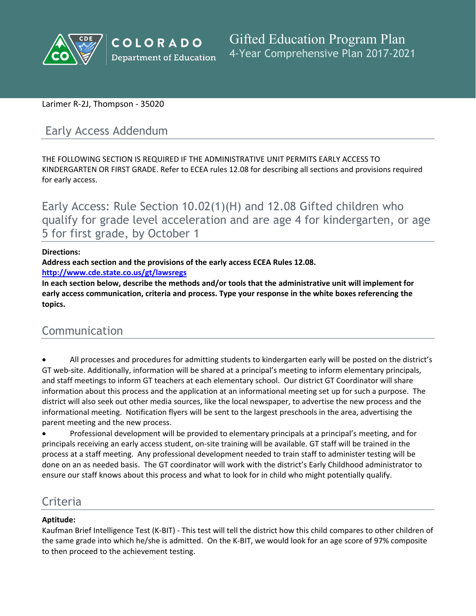

# Larimer R-2J, Thompson - 35020

# Early Access Addendum

THE FOLLOWING SECTION IS REQUIRED IF THE ADMINISTRATIVE UNIT PERMITS EARLY ACCESS TO KINDERGARTEN OR FIRST GRADE. Refer to ECEA rules 12.08 for describing all sections and provisions required for early access.

Early Access: Rule Section 10.02(1)(H) and 12.08 Gifted children who qualify for grade level acceleration and are age 4 for kindergarten, or age 5 for first grade, by October 1

### **Directions:**

**Address each section and the provisions of the early access ECEA Rules 12.08.**

**<http://www.cde.state.co.us/gt/lawsregs>**

**In each section below, describe the methods and/or tools that the administrative unit will implement for early access communication, criteria and process. Type your response in the white boxes referencing the topics.**

# Communication

 All processes and procedures for admitting students to kindergarten early will be posted on the district's GT web-site. Additionally, information will be shared at a principal's meeting to inform elementary principals, and staff meetings to inform GT teachers at each elementary school. Our district GT Coordinator will share information about this process and the application at an informational meeting set up for such a purpose. The district will also seek out other media sources, like the local newspaper, to advertise the new process and the informational meeting. Notification flyers will be sent to the largest preschools in the area, advertising the parent meeting and the new process.

 Professional development will be provided to elementary principals at a principal's meeting, and for principals receiving an early access student, on-site training will be available. GT staff will be trained in the process at a staff meeting. Any professional development needed to train staff to administer testing will be done on an as needed basis. The GT coordinator will work with the district's Early Childhood administrator to ensure our staff knows about this process and what to look for in child who might potentially qualify.

# Criteria

## **Aptitude:**

Kaufman Brief Intelligence Test (K-BIT) - This test will tell the district how this child compares to other children of the same grade into which he/she is admitted. On the K-BIT, we would look for an age score of 97% composite to then proceed to the achievement testing.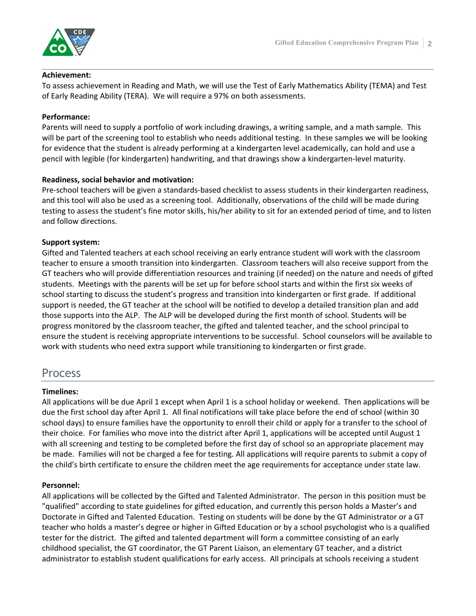

#### **Achievement:**

To assess achievement in Reading and Math, we will use the Test of Early Mathematics Ability (TEMA) and Test of Early Reading Ability (TERA). We will require a 97% on both assessments.

#### **Performance:**

Parents will need to supply a portfolio of work including drawings, a writing sample, and a math sample. This will be part of the screening tool to establish who needs additional testing. In these samples we will be looking for evidence that the student is already performing at a kindergarten level academically, can hold and use a pencil with legible (for kindergarten) handwriting, and that drawings show a kindergarten-level maturity.

#### **Readiness, social behavior and motivation:**

Pre-school teachers will be given a standards-based checklist to assess students in their kindergarten readiness, and this tool will also be used as a screening tool. Additionally, observations of the child will be made during testing to assess the student's fine motor skills, his/her ability to sit for an extended period of time, and to listen and follow directions.

#### **Support system:**

Gifted and Talented teachers at each school receiving an early entrance student will work with the classroom teacher to ensure a smooth transition into kindergarten. Classroom teachers will also receive support from the GT teachers who will provide differentiation resources and training (if needed) on the nature and needs of gifted students. Meetings with the parents will be set up for before school starts and within the first six weeks of school starting to discuss the student's progress and transition into kindergarten or first grade. If additional support is needed, the GT teacher at the school will be notified to develop a detailed transition plan and add those supports into the ALP. The ALP will be developed during the first month of school. Students will be progress monitored by the classroom teacher, the gifted and talented teacher, and the school principal to ensure the student is receiving appropriate interventions to be successful. School counselors will be available to work with students who need extra support while transitioning to kindergarten or first grade.

# Process

#### **Timelines:**

All applications will be due April 1 except when April 1 is a school holiday or weekend. Then applications will be due the first school day after April 1. All final notifications will take place before the end of school (within 30 school days) to ensure families have the opportunity to enroll their child or apply for a transfer to the school of their choice. For families who move into the district after April 1, applications will be accepted until August 1 with all screening and testing to be completed before the first day of school so an appropriate placement may be made. Families will not be charged a fee for testing. All applications will require parents to submit a copy of the child's birth certificate to ensure the children meet the age requirements for acceptance under state law.

#### **Personnel:**

All applications will be collected by the Gifted and Talented Administrator. The person in this position must be "qualified" according to state guidelines for gifted education, and currently this person holds a Master's and Doctorate in Gifted and Talented Education. Testing on students will be done by the GT Administrator or a GT teacher who holds a master's degree or higher in Gifted Education or by a school psychologist who is a qualified tester for the district. The gifted and talented department will form a committee consisting of an early childhood specialist, the GT coordinator, the GT Parent Liaison, an elementary GT teacher, and a district administrator to establish student qualifications for early access. All principals at schools receiving a student